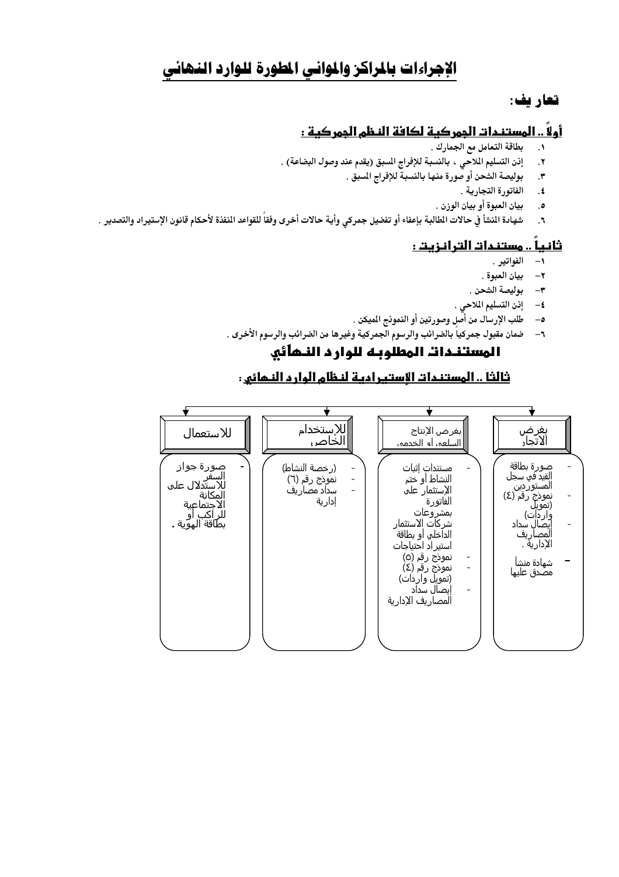# الإجراءات بالمراكز والموانى المطورة للوارد النهائى

## تعاريف:

# أولاً .. المستندات المِمركية لكافة النظم المِمركية :

- بطاقة التعامل مع الجمارك .  $\ddot{\phantom{0}}$
- إذن التسليم الملاحي ، بالنسبة للإفراج المسبق (يقدم عند وصول البضاعة) .  $\boldsymbol{\cdot}$ 
	- بوليصة الشحن أو صورة منها بالنسبة للإفراج المسبق .  $\cdot$ 
		- الفاتورة التجارية .  $\cdot$
		- $\cdot$  .  $\circ$ بيان العبوة أو بيان الوزن .
- شهادة النشأ في حالات الطالبة بإعفاء أو تفضيل جمركي وأية حالات أخرى وفقاً للقواعد النفذة لأحكام قانون الإستيراد والتصدير .  $\mathbf{R}$ .

# ثانياً .. مستندات الترانزيت :

- ١- الفواتير .
- ٢– بيان العبوة .
- ٣– بوليصة الشحن .
- ٤- إذن التسليم الملاحي .
- طلب الإرسال من أصل وصورتين أو النمونج الميكن .  $-\circ$
- ٦– ضمان مقبول جمركياً بالضرائب والرسوم الجمركية وغيرها من الضرائب والرسوم الأخرى .

# المستندات المطلوبة للوارد النهائي

# ثالثاً .. المستندات الاستبرادية لنظام الوارد النمائي :

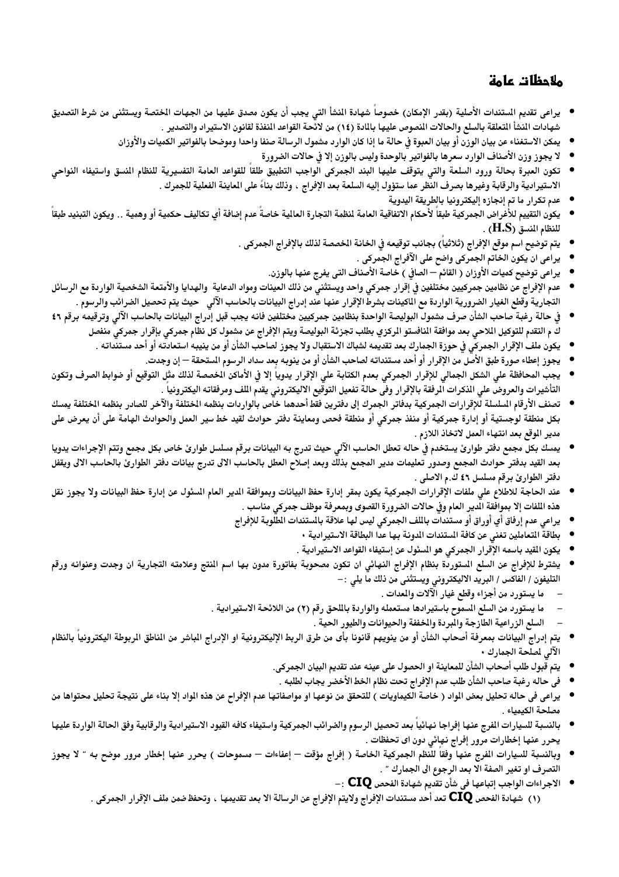# ملاحظات عامة

- يراعى تقديم الستندات الأصلية (بقدر الإمكان) خصوصاً شهادة النشأ التي يجب أن يكون مصدق عليها من الجهات الختصة ويستثنى من شرط التصديق شهادات المنشأ التعلقة بالسلع والحالات المصوص عليها بالمادة (١٤) من لائحة القواعد المنفذة لقانون الاستيراد والتصدير .
	- يمكن الاستغناء عن بيان الوزن أو بيان العبوة فى حالة ما إذا كان الوارد مشمول الرسالة صنفا واحدا وموضحا بالفواتير الكميات والأوزان
		- لا يجوز وزن الأصناف الوارد سعرها بالفواتير بالوحدة وليس بالوزن إلا في حالات الضرورة
- تكون العبرة بحالة ورود السلعة والتي يتوقف عليها البند الجمركي الواجب التطبيق طلقاً للقواعد العامة التفسيرية للنظام النسق واستيفاء النواحي الاستيرادية والرقابة وغيرها بصرف النظر عما ستؤول إليه السلعة بعد الإفراج ، وذلك بناءً على الماينة الفعلية للجمرك .
	- عدم تكرار ما تم إنجازه إليكترونيا بالطريقة اليدوية
- يكون التقييم للأغراض الجمركية طبقاً لأحكام الاتفاقية العامة لمظمة التجارة العالية خاصةً عدم إضافة أي تكاليف حكمية أو وهمية .. ويكون التبنيد طبقاً للنظام المنسق (H.S) .
	- يتم توضيح اسم موقع الإفراج (ثلاثيا) بجانب توقيعه في الخانة الخصصة لذلك بالإفراج الجمركي .
		- يراعي ان يكون الخاتم الجمركي واضح على الآفراج الجمركي .
		- يراعي توضيح كميات الأوزان ( القائم الصافي ) خاصة الأصناف التي يفرج عنها بالوزن.
- عدم الإفراج عن نظامين جمركيين مختلفين في إقرار جمركي واحد ويستثني من ذلك العينات ومواد الدعاية والهدايا والأمتعة الشخصية الواردة مع الرسائل التجارية وقطع الغيار الضرورية الواردة مع الماكينات بشرط الإقرار عنها عند إدراج البيانات بالحاسب الآلي۔ حيث يتم تحصيل الضرائب والرسوم .
- في حالة رغبة صاحب الشأن صرف مشمول البوليصة الواحدة بنظامين جمركيين مختلفين فانه يجب قبل إدراج البيانات بالحاسب الآلي وترقيمه برقم ٤٦ ك م التقدم للتوكيل اللاحي بعد موافقة النافستو الركزي بطلب تجزئة البوليصة ويتم الإفراج عن مشمول كل نظام جمركي بإقرار جمركي منفصل
	- يكون ملف الإقرار الجمركي فى حوزة الجمارك بعد تقديمه لشباك الاستقبال ولا يجوز لصاحب الشأن أو من ينيبه استعادته أو أحد مستنداته .
		- يجوز إعطاء صورة طبق الأصل من الإقرار أو أحد مستنداته لصاحب الشأن أو من ينوبه بعد سداد الرسوم المستحقة إن وجدت.
- يجب المحافظة على الشكل الجمالي للإقرار الجمركي بعدم الكتابة على الإقرار يدويا إلا في الأماكن الخصصة لذلك مثل التوقيع أو ضوابط الصرف وتكون التأشيرات والعروض على الذكرات الرفقة بالإقرار وفى حالة تفعيل التوقيع الاليكترونى يقدم اللف ومرفقاته اليكترونيا .
- تصنف الأرقام المسلسلة للإقرارات الجمركية بدفاتر الجمرك إلى دفترين فقط أحدهما خاص بالواردات بنظمه الختلفة والآخر للصادر بنظمه الختلفة يمسك بكل منطقة لوجستية أو إدارة جمركية أو منفذ جمركي أو منطقة فحص ومعاينة دفتر حوادث لقيد خط سير العمل والحوادث الهامة على أن يعرض على مدير الموقع بعد انتهاء العمل لاتخاذ اللازم .
- يمسك بكل مجمع دفتر طوارئ يستخدم في حاله تعطل الحاسب الآلي حيث تدرج به البيانات برقم مسلسل طوارئ خاص بكل مجمع وتتم الإجراءات يدويا بعد القيد بدفتر حوادث المجمع وصدور تعليمات مدير المجمع بذلك وبعد إصلاح العطل بالحاسب الالى تدرج بيانات دفتر الطوارئ بالحاسب الالى ويقفل دفتر الطوارئ برقم مسلسل ٤٦ ك.م الاصلي .
- عند الحاجة للاطلاع على ملفات الإقرارات الجمركية يكون بمقر إدارة حفظ البيانات وبموافقة الدير العام السئول عن إدارة حفظ البيانات ولا يجوز نقل  $\bullet$ هذه اللفات إلا بموافقة الدير العام وفى حالات الضرورة القصوى وبمعرفة موظف جمركى مناسب .
	- يراعي عدم إرفاق أي أوراق أو مستندات بالملف الجمركي ليس لها علاقة بالستندات المطلوبة للإفراج
		- بطاقة المتعاملين تغني عن كافة المستندات المدونة بها عدا البطاقة الاستيرادية ٠
		- يكون القيد باسمه الإقرار الجمركي هو المسئول عن إستيفاء القواعد الاستيرادية .
- يشترط للإفراج عن السلع المستوردة بنظام الإفراج النهائي ان تكون مصحوبة بفاتورة مدون بها اسم النتج وعلامته التجارية ان وجدت وعنوانه ورقم التليفون / الفاكس / البريد الاليكتروني ويستثني من ذلك ما يلي : –
	- ما يستورد من أجزاء وقطع غيار الآلات والمعدات .
	- ما يستورد من السلع المسموح باستيرادها مستعمله والواردة باللحق رقم (٢) من اللائحة الاستيرادية .
		- السلع الزراعية الطازجة والمبردة والخففة والحيوانات والطيور الحية .
- يتم إدراج البيانات بمعرفة أصحاب الشأن أو من ينويهم قانونا بأى من طرق الربط الإليكترونية او الإدراج الباشر من الناطق الربوطة اليكترونيا بالنظام الآلى لملحة الجمارك •
	- يتم قبول طلب أصحاب الشأن للمعاينة او الحصول على عينه عند تقديم البيان الجمركى.
	- في حاله رغبة صاحب الشأن طلب عدم الإفراج تحت نظام الخط الأخضر يجاب لطلبه .
- يراعى في حاله تحليل بعض الواد ( خاصة الكيماويات ) للتحقق من نوعها او مواصفاتها عدم الإفراح عن هذه الواد إلا بناء على نتيجة تحليل محتواها من مصلحة الكيمياء .
- بالنسبة للسيارات الفرج عنها إفراجا نهائيا بعد تحصيل الرسوم والضرائب الجمركية واستيفاء كافه القيود الاستيرادية والرقابية وفق الحالة الواردة عليها يحرر عنها إخطارات مرور إفراج نهائي دون اي تحفظات .
- وبالنسبة للسيارات الفرج عنها وفقا للنظم الجمركية الخاصة ( إفراج مؤقت إعفاءات مسموحات ) يحرر عنها إخطار مرور موضح به ″ لا يجوز  $\bullet$ التصرف او تغير الصفة الا بعد الرجوع الى الجمارك " .
	- $\colon \mathsf{CIQ}$  الاجراءات الواجب إتباعها في شأن تقديم شهادة الفحص $\mathsf{CIQ}$ (١) شهادة الفحص CIQ تعد أحد مستندات الإفراج ولايتم الإفراج عن الرسالة الا بعد تقديمها ، وتحفظ ضمن ملف الإقرار الجمركى .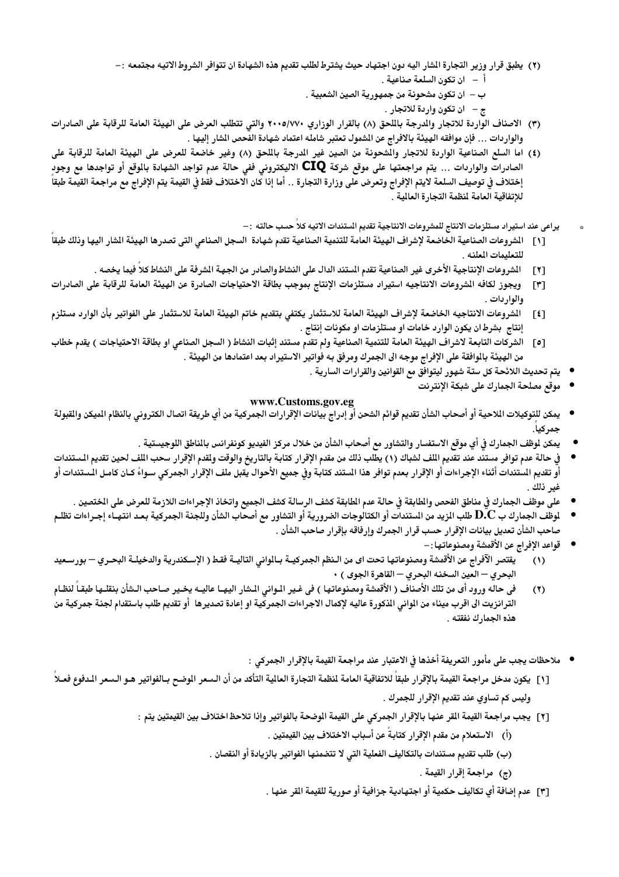- (٢) يطبق قرار وزير التجارة الشار اليه دون اجتهاد حيث يشترط لطلب تقديم هذه الشهادة ان تتوافر الشروط الاتيه مجتمعه :-أ – ان تكون السلعة صناعية .
	- ب ان تكون مشحونة من جمهورية الصين الشعبية .
		- ج ان تكون واردة للاتجار .
- (٣) الاصناف الواردة للاتجار والدرجة بالملحق (٨) بالقرار الوزاري ٢٠٠٥/٧٧٠ والتي تتطلب العرض على الهيئة العامة للرقابة على الصادرات والواردات … فإن موافقه الهيئة بالافراج عن الشمول تعتبر شامله اعتماد شهادة الفحص الشار إليها .
- (٤) اما السلع الصناعية الواردة للاتجار والشحونة من الصين غير الدرجة بالمحق (٨) وغير خاضعة للعرض على الهيئة العامة للرقابة على الصادرات والواردات ... يتم مراجعتها على موقع شركة **CIQ** الاليكترونى ففى حالة عدم تواجد الشهادة بالوقع أو تواجدها مع وجود<sub>ٍ</sub> إختلاف في توصيف السلعة لايتم الإفراج وتعرض على وزارة التجارة .. أما إذا كان الاختلاف فقط في القيمة يتم الإفراج مع مراجعة القيمة طبقا للإتفاقية العامة لمنظمة التجارة العالية .
	- يراعى عند استيراد مستلزمات الانتاج للمشروعات الانتاجية تقديم الستندات الاتيه كلاً حسب حالته : –
- الشروعات الصناعية الخاضعة لإشراف الهيئة العامة للتنمية الصناعية تقدم شهادة السجل الصناعي التي تصدرها الهيئة الشار اليها وذلك طبقا  $\lceil \cdot \rceil$ للتعليمات المعلنه .
	- الشروعات الإنتاجية الأخرى غير الصناعية تقدم الستند الدال على النشاط والصادر من الجهة الشرفة على النشاط كلا فيما يخصه .  $\lceil$   $\lceil$   $\lceil$
- ويجوز لكافه الشروعات الانتاجيه استيراد مستلزمات الإنتاج بموجب بطاقة الاحتياجات الصادرة عن الهيئة العامة للرقابة على الصادرات  $[\mathbf{r}]$ والواردات .
- الشروعات الانتاجيه الخاضعة لإشراف الهيئة العامة للاستثمار يكتفى بتقديم خاتم الهيئة العامة للاستثمار على الفواتير بأن الوارد مستلزم  $\lceil 1 \rceil$ إنتاج بشرط ان يكون الوارد خامات او مستلزمات او مكونات إنتاج .
- [٥] الشركات التابعة لاشراف الهيئة العامة للتنمية الصناعية ولم تقدم مستند إثبات النشاط ( السجل الصناعي او بطاقة الاحتياجات ) يقدم خطاب من الهيئة بالوافقة على الإفراج موجه الى الجمرك ومرفق به فواتير الاستيراد بعد اعتمادها من الهيئة .
	- يتم تحديث اللائحة كل ستة شهور ليتوافق مع القوانين والقرارات السارية .
		- موقع مصلحة الجمارك على شبكة الإنتر نت

#### www.Customs.gov.eg

- يمكن للتوكيلات الملاحية أو أصحاب الشأن تقديم قوائم الشحن أو إدراج بيانات الإقرارات الجمركية من أي طريقة اتصال الكترونى بالنظام الميكن والقبولة جمركيا.
	- يمكن لوظف الجمارك في أي موقع الاستفسار والتشاور مع أصحاب الشأن من خلال مركز الفيديو كونفرانس بالناطق اللوجيستية .
- في حالة عدم توافر مستند عند تقديم اللف لشباك (١) يطلب ذلك من مقدم الإقرار كتابة بالتاريخ والوقت ولقدم الإقرار سحب اللف لحين تقديم المستندات أو تقديم المستندات أثناء الإجراءات أو الإقرار بعدم توافر هذا المستند كتابة وفي جميع الأحوال يقبل ملف الإقرار الجمركي سواءً كـان كامـل الـستندات أو غير ذلك .
	- على موظف الجمارك في مناطق الفحص والطابقة في حالة عدم الطابقة كشف الرسالة كشف الجميع واتخاذ الإجراءات اللازمة للعرض على الختصين .
- لموظف الجمارك ب $\bf{D}$  طلب الزيد من الستندات أو الكتالوجات الضرورية أو التشاور مع أصحاب الشأن وللجنة الجمركية بعد انتهـاء إجـراءات تظلـم صاحب الشأن تعديل بيانات الإقرار حسب قرار الجمرك وإرفاقه بإقرار صاحب الشأن .
	- قواعد الإفراج عن الأقمشة ومصنوعاتها : –
- يقتصر الآفراج عن الأقمشة ومصنوعاتها تحت اى من الـنظم الجمركيــة بــالمواني التاليــة فقـط ( الإسـكندريـة والدخيلــة البحـري بورسـعيد  $(1)$ البحري – العين السخنه البحري – القاهرة الجوى ) •
- في حاله ورود أى من تلك الأصناف ( الأقمشة ومصنوعاتها ) في غير الـواني الـشار اليهــا عاليــه يخـير صـاحب الـشأن بنقلـها طبقـا لنظـام  $(7)$ الترانزيت الى اقرب ميناء من الواني الذكورة عاليه لإكمال الاجراءات الجمركية او إعادة تصديرها أو تقديم طلب باستقدام لجنة جمركية من هذه الجمارك نفقته .
	- ملاحظات يجب على مأمور التعريفة أخذها فى الاعتبار عند مراجعة القيمة بالإقرار الجمركى :
- [١] يكون مدخل مراجعة القيمة بالإقرار طبقاً للاتفاقية العامة لنظمة التجارة العالية التأكد من أن السعر الموضح بـالفواتير هـو الـسعر الـدفوع فعـلا وليس كم تساوي عند تقديم الإقرار للجمرك .
	- [٢] يجب مراجعة القيمة القر عنها بالإقرار الجمركي على القيمة الوضحة بالفواتير وإذا تلاحظ اختلاف بين القيمتين يتم :
		- (أ) الاستعلام من مقدم الإقرار كتابةً عن أسباب الاختلاف بين القيمتين .
		- (ب) طلب تقديم مستندات بالتكاليف الفعلية التي لا تتضمنها الفواتير بالزيادة أو النقصان .
			- (ج) مراجعة إقرار القيمة .
			- [٣] عدم إضافة أي تكاليف حكمية أو اجتهادية جزافية أو صورية للقيمة القر عنها .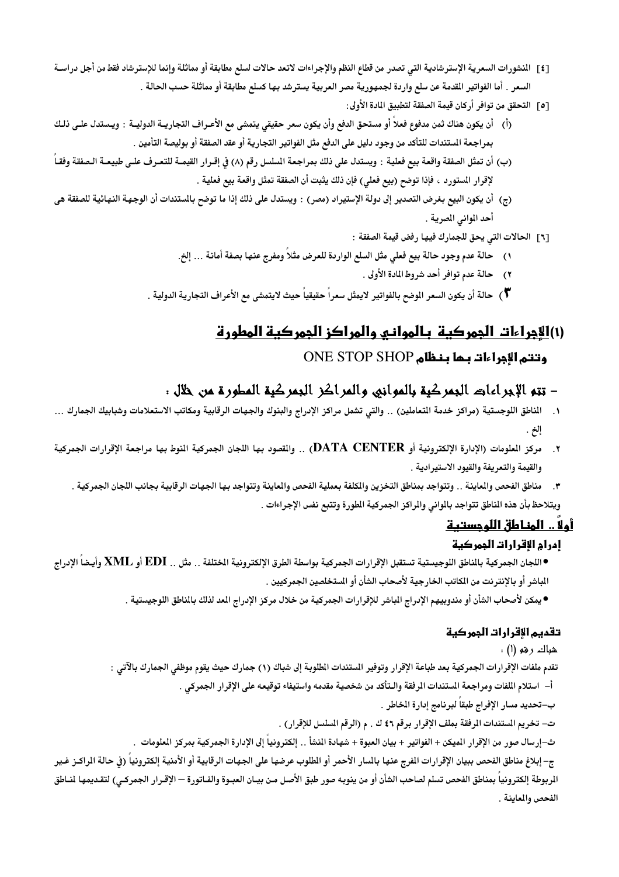- [٤] المنشورات السعرية الإسترشادية التي تصدر من قطاع النظم والإجراءات لاتعد حالات لسلع مطابقة أو مماثلة وإنما للإسترشاد فقط من أجل دراسـة السعر . أما الفواتير القدمة عن سلع واردة لجمهورية مصر العربية يسترشد بها كسلع مطابقة أو مماثلة حسب الحالة .
	- [0] التحقق من توافر أركان قيمة الصفقة لتطبيق المادة الأولى:
- (أ) أن يكون هناك ثمن مدفوع فعلاً أو مستحق الدفع وأن يكون سعر حقيقى يتمشى مع الأعـراف التجاريــة الدوليــة : ويـستدل علـى ذلـك بمراجعة المستندات للتأكد من وجود دليل على الدفع مثل الفواتير التجارية أو عقد الصفقة أو بوليصة التأمين .
- (ب) أن تمثل الصفقة واقعة بيع فعلية : ويستدل على ذلك بمراجعة المسلسل رقم (٨) في إقـرار القيمــة للتعـرف علـى طبيعــة الـصفقة وفقــأ لإقرار المستورد ، فإذا توضح (بيع فعلى) فإن ذلك يثبت أن الصفقة تمثل واقعة بيع فعلية .
- (ج) أن يكون البيع بغرض التصدير إلى دولة الإستيراد (مصر) : ويستدل على ذلك إذا ما توضح بالستندات أن الوجهة النهائية للصفقة هي أحد المواني المصرية .
	- [٦] الحالات التي يحق للجمارك فيها رفض قيمة الصفقة :
	- ١) حالة عدم وجود حالة بيع فعلى مثل السلع الواردة للعرض مثلاً ومفرج عنها بصفة أمانة … إلخ.
		- ٢) حالة عدم توافر أحد شروط المادة الأولى .
	- \*) حالة أن يكون السعر الوضح بالفواتير لايمثل سعر اً حقيقياً حيث لايتمشى مع الأعراف التجارية الدولية .

# (۱)الأجراءات الجمركية بالمواني والمراكز الجمركية المطورة

# وتتم الإجراءات بـما بـنـظام ONE STOP SHOP

# - تتم الإجراءات البمركية بالموانيي والمراكز البمركية المطورة من خلال .

- ١. الناطق اللوجستية (مراكز خدمة التعاملين) .. والتي تشمل مراكز الإدراج والبنوك والجهات الرقابية ومكاتب الاستعلامات وشبابيك الجمارك ... إلخ
- ٢. مركز الملومات (الإدارة الإلكترونية أو DATA CENTER) .. والقصود بها اللجان الجمركية النوط بها مراجعة الإقرارات الجمركية والقيمة والتعريفة والقيود الاستيرادية .
	- ٣. مناطق الفحص والماينة . . وتتواجد بمناطق التخزين والكلفة بعملية الفحص والماينة وتتواجد بها الجهات الرقابية بجانب اللجان الجمركية . ويتلاحظ بأن هذه الناطق تتواجد بالواني والراكز الجمركية الطورة وتتبع نفس الإجراءات .

# أولاً .. المناطق اللوجستية

## إدرام الإقرارات الممركبة

- ●اللجان الجمركية بالناطق اللوجيستية تستقبل الإقرارات الجمركية بواسطة الطرق الإلكترونية الختلفة .. مثل .. EDI أو XML وأيـضاً الإدراج المباشر أو بالإنترنت من المكاتب الخارجية لأصحاب الشأن أو الستخلصين الجمركيين .
	- يمكن لأصحاب الشأن أو مندوبيهم الإدراج المباشر للإقرارات الجمركية من خلال مركز الإدراج المد لذلك بالمناطق اللوجيستية .

## تقديم الإقرارات الجمركية

شباك رقم (ا) .

تقدم ملفات الإقرارات الجمركية بعد طباعة الإقرار وتوفير المستندات الطلوبة إلى شباك (١) جمارك حيث يقوم موظفي الجمارك بالآتي :

أ– استلام اللفات ومراجعة المستندات المرفقة والـتأكد من شخصية مقدمه واستيفاء توقيعه على الإقرار الجمركى .

ب–تحديد مسار الإفراج طبقاً لبرنامج إدارة الخاطر .

ت- تخريم المستندات المرفقة بملف الإقرار برقم ٤٦ ك . م (الرقم المسلسل للإقرار ) .

ث–إرسال صور من الإقرار الميكن + الفواتير + بيان العبوة + شهادة النشأ . . إلكترونياً إلى الإدارة الجمركية بمركز العلومات .

ج– إبلاغ مناطق الفحص ببيان الإقرارات الفرج عنها بالسار الأحمر أو الطلوب عرضها على الجهات الرقابية أو الأمنية إلكترونياً (فى حالة الراكـز غـير الربوطة إلكترونياً بمناطق الفحص تسلم لصاحب الشأن أو من ينوبه صور طبق الأصل مـن بيـان العبـوة والفـاتورة — الإقـرار الجمركـى) لتقـديمها لنــاطق الفحص والمعابنة .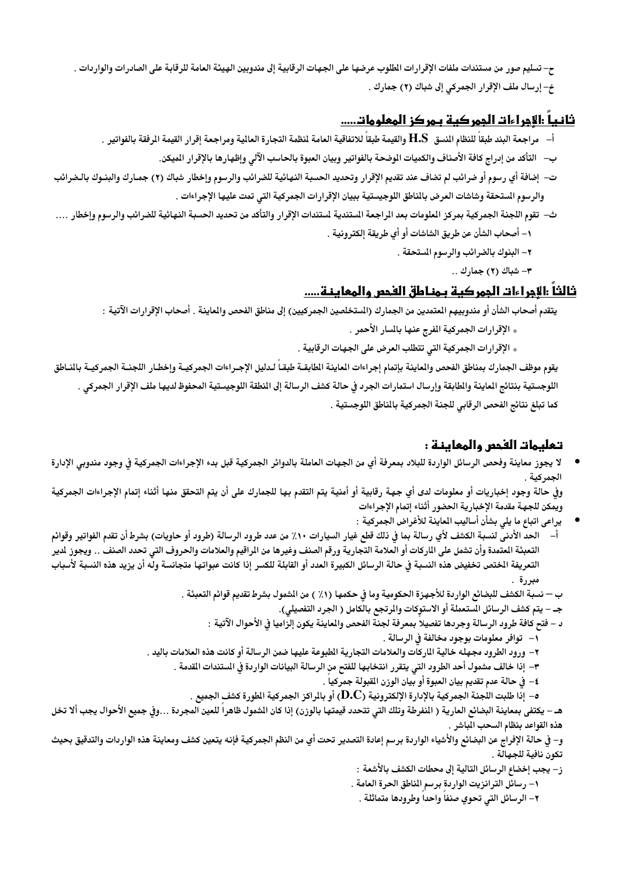ح– تسليم صور من مستندات ملفات الإقرارات الطلوب عرضها على الجهات الرقابية إلى مندوبين الهيئة العامة للرقابة على الصادرات والواردات . خ- إرسال ملف الإقرار الجمركي إلى شباك (٢) جمارك .

# <u>ثانيا :الأجراءات الجمر كية بـمركز المعلومات.....</u>

- أ– مراجعة البند طبقاً للنظام النسق H.S والقيمة طبقاً للاتفاقية العامة لنظمة التجارة العالية ومراجعة إقرار القيمة الرفقة بالفواتير .
	- ب— التأكد من إدراج كافة الأصناف والكميات الموضحة بالفواتير وبيان العبوة بالحاسب الآلى وإظهارها بالإقرار الميكن.
- ت– إضافة أي رسوم أو ضرائب لم تضاف عند تقديم الإقرار وتحديد الحسبة النهائية للضرائب والرسوم وإخطار شباك (٢) جمـارك والبنـوك بالـضرائب والرسوم المستحقة وشاشات العرض بالمناطق اللوجيستية ببيان الإقرارات الجمركية التي تمت عليها الإجراءات .
- ث– تقوم اللجنة الجمركية بمركز الملومات بعد الراجعة الستندية لستندات الإقرار والتأكد من تحديد الحسبة النهائية للضرائب والرسوم وإخطار …. ١– أصحاب الشأن عن طريق الشاشات أو أي طريقة إلكترونية .
	- ٢– البنوك بالضرائب والرسوم المستحقة .
		- ٣- شباك (٢) جمارك ..

## ثالثاً :الأجراءات الجمركية يمناطق الفحص والمعاينة.....

يتقدم أصحاب الشأن أو مندوبيهم المتمدين من الجمارك (الستخلصين الجمركيين) إلى مناطق الفحص والماينة . أصحاب الإقرارات الآتية :

- . الإقرارات الجمركية المفرج عنها بالمسار الأحمر .
- . الإقرارات الجمركية التي تتطلب العرض على الجهات الرقابية .

يقوم موظف الجمارك بمناطق الفحص والماينة بإتمام إجراءات الماينة الطابقـة طبقـاً لـدليل الإجـراءات الجمركيـة وإخطـار اللجنـة الجمركيــة بالنــاطق اللوجستية بنتائج العاينة والطابقة وإرسال استمارات الجرد فى حالة كشف الرسالة إلى النطقة اللوجيستية المحفوظ لديها ملف الإقرار الجمركى . كما تبلغ نتائج الفحص الرقابي للجنة الجمركية بالناطق اللوجستية .

# تعليمات الفحص والمعاينة :

لا يجوز معاينة وفحص الرسائل الواردة للبلاد بمعرفة أي من الجهات العاملة بالدوائر الجمركية قبل بدء الإجراءات الجمركية في وجود مندوبي الإدارة الجمركية .

وفي حالة وجود إخباريات أو معلومات لدى أي جهة رقابية أو أمنية يتم التقدم بها للجمارك على أن يتم التحقق منها أثناء إتمام الإجراءات الجمركية ويمكن للجهة مقدمة الإخبارية الحضور أثناء إتمام الإجراءات

- يراعي اتباع ما يلي بشأن أساليب المعاينة للأغراض الجمركية :
- أ– الحد الأدنى لنسبة الكشف لأي رسالة بما فى ذلك قطع غيار السيارات ١٠٪ من عدد طرود الرسالة (طرود أو حاويات) بشرط أن تقدم الفواتير وقوائم التعبئة المتمدة وأن تشمل على الماركات أو العلامة التجارية ورقم الصنف وغيرها من المراقيم والعلامات والحروف التي تحدد الصنف .. ويجوز لدير التعريفة الختص تخفيض هذه النسبة في حالة الرسائل الكبيرة العدد أو القابلة للكسر إذا كانت عبواتها متجانسة وله أن يزيد هذه النسبة لأسباب مبررة
	- ب نسبة الكشف للبضائع الواردة للأجهزة الحكومية وما في حكمها (١٪ ) من الشمول بشرط تقديم قوائم التعبئة .
		- جـ يتم كشف الرسائل المستعملة أو الاستوكات والمرتجع بالكامل ( الجرد التفصيلي).
		- د فتح كافة طرود الرسالة وجردها تفصيلاً بمعرفة لجنة الفحص والماينة يكون إلزاميا فى الأحوال الآتية :
			- ١– توافر معلومات بوجود مخالفة في الرسالة .
	- ٢– ورود الطرود مجهله خالية الماركات والعلامات التجارية المطبوعة عليها ضمن الرسالة أو كانت هذه العلامات باليد .
		- ٣– إذا خالف مشمول أحد الطرود التى يتقرر انتخابها للفتح من الرسالة البيانات الواردة في المستندات القدمة .
			- ٤– في حالة عدم تقديم بيان العبوة أو بيان الوزن القبولة جمركيا .
			- ه إذا طلبت اللجنة الجمركية بالإدارة الإلكترونية ( ${\bf D.} {\bf C})$  أو بالراكز الجمركية الطورة كشف الجميع .

هـ – يكتفي بمعاينة البضائع العارية ( النفرطة وتلك التي تتحدد قيمتها بالوزن) إذا كان الشمول ظاهرا للعين المجردة …وفي جميع الأحوال يجب ألا تخل هذه القواعد بنظام السحب الباشر .

و– في حالة الإفراج عن البضائع والأشياء الواردة برسم إعادة التصدير تحت أي من النظم الجمركية فإنه يتعين كشف ومعاينة هذه الواردات والتدقيق بحيث تكون نافية للجهالة .

- ز– يجب إخضاع الرسائل التالية إلى محطات الكشف بالأشعة :
- ١– رسائل الترانزيت الواردة برسم المناطق الحرة العامة .
	- ٢– الرسائل التي تحوي صنفا واحدا وطرودها متماثلة .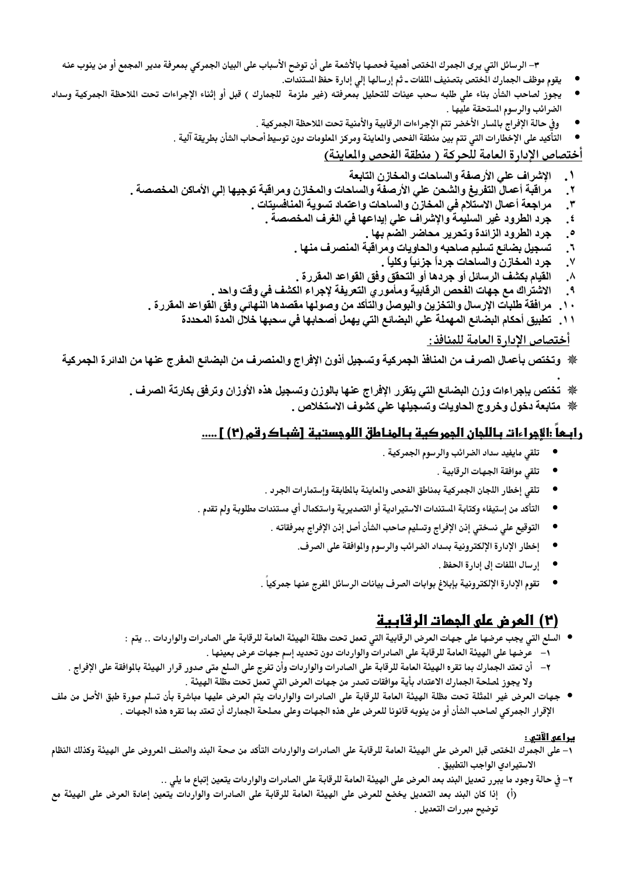٣– الرسائل التي يرى الجمرك الختص أهمية فحصها بالأشعة على أن توضح الأسباب على البيان الجمركي بمعرفة مدير المجمع أو من ينوب عنه

- يقوم موظف الجمارك الختص بتصنيف اللفات ـ ثم إرسالها إلى إدارة حفظ المستندات.
- يجوز لصاحب الشأن بناء على طلبه سحب عينات للتحليل بمعرفته (غير ملزمة للجمارك ) قبل أو إثناء الإجراءات تحت اللاحظة الجمركية وسداد الضرائب والرسوم المستحقة عليها .
	- وفي حالة الإفراج بالسار الأخضر تتم الإجراءات الرقابية والأمنية تحت اللاحظة الجمركية .
	- التأكيد على الإخطارات التي تتم بين منطقة الفحص والمعاينة ومركز الملومات دون توسيط أصحاب الشأن بطريقة آلية .

## أختصاص الإدار ة العامة للحركة ( منطقة الفحص والمعاينة)

- الإشراف على الأرصفة والساحات والمخازن التابعة  $\mathcal{N}_{\mathbf{a}}$
- مراقبة أعمال التفريغ والشحن على الأرصفة والساحات والمخازن ومراقبة توجيها إلى الأماكن المخصصة . ۲.
	- مراجعة أعمال الاستلام في المخازن والساحات واعتماد تسوية المنافسيتات .  $\mathbf{r}$ 
		- جرد الطرود غير السليمة والإشراف علي إيداعها في الغرف المخصصة .  $\cdot^{\mathfrak{t}}$ 
			- جرد الطرود الزائدة وتحرير محاضر الضم بها .  $\cdot^{\circ}$
			- تسجيل بضائع تسليم صاحبه والحاويات ومراقبة المنصرف منها .  $\cdot$ 
				- جرد المخازن والساحات جرداً جزئياً وكلياً .  $\cdot^{\mathsf{v}}$
			- القيام بكشف الرسائل أو جردها أو التحقق وفق القواعد المقررة .  $\lambda$
	- الاشتراك مع جهات الفحص الرقابية ومأمور ى التعريفة لإجراء الكشف في وقت واحد .  $\cdot$
	- مرافقة طلبات الإرسال والتخزين والبوصل والتأكد من وصولها مقصدها النهائى وفق القواعد المقررة .  $\mathbf{\hat{}}$ 
		- تطبيق أحكام البضائع المهملة علي البضائع التي يهمل أصحابها في سحبها خلال المدة المحددة  $\cdot$

#### أختصاص الإدار ة العامة للمنافذ :

※ وتختص بأعمال الصرف من المنافذ الجمركية وتسجيل أذون الإفراج والمنصرف من البضائع المفرج عنها من الدائرة الجمركية

※ تختص بإجراءات وزن البضائع التي يتقرر الإفراج عنها بالوزن وتسجيل هذه الأوزان وترفق بكارتة الصرف . ※ متابعة دخول وخروج الحاويات وتسجيلها على كشوف الاستخلاص .

# رابكاً :الأجراءات باللجان الجمركية بالمناطق اللوجستية [شباكرقم (٢) ] .....

- تلقى مايفيد سداد الضرائب والرسوم الجمركية .
	- تلقى موافقة الجهات الرقابية .
- تلقى إخطار اللجان الجمركية بمناطق الفحص والمعاينة بالطابقة وإستمارات الجرد .
- التأكد من إستيفاء وكتابة المستندات الاستيرادية أو التصديرية واستكمال أي مستندات مطلوبة ولم تقدم .
	- التوقيع على نسختي إذن الإفراج وتسليم صاحب الشأن أصل إذن الإفراج بمرفقاته .
		- إخطار الإدارة الإلكترونية بسداد الضرائب والرسوم والوافقة على الصرف.
			- إرسال الملفات إلى إدارة الحفظ .
	- تقوم الإدارة الإلكترونية بإبلاغ بوابات الصرف بيانات الرسائل الفرج عنها جمركيا .

# (٢) العرض على الممات الرقابية

- السلع التي يجب عرضها على جهات العرض الرقابية التي تعمل تحت مظلة الهيئة العامة للرقابة على الصادرات والواردات .. يتم :
	- ١– عرضها على الهيئة العامة للرقابة على الصادرات والواردات دون تحديد إسم جهات عرض بعينها .
- ٢– أن تعتد الجمارك بما تقره الهيئة العامة للرقابة على الصادرات والواردات وأن تفرج على السلع متى صدور قرار الهيئة بالوافقة على الإفراج . ولا يجوز لصلحة الجمارك الاعتداد بأية موافقات تصدر من جهات العرض التي تعمل تحت مظلة الهيئة .
- جهات العرض غير المثلة تحت مظلة الهيئة العامة للرقابة على الصادرات والواردات يتم العرض عليها مباشرة بأن تسلم صورة طبق الأصل من ملف الإقرار الجمركي لصاحب الشأن أو من ينوبه قانونا للعرض على هذه الجهات وعلى مصلحة الجمارك أن تعتد بما تقره هذه الجهات .

#### <u>يراعى الآتى :</u>

- ١– على الجمرك الختص قبل العرض على الهيئة العامة للرقابة على الصادرات والواردات التأكد من صحة البند والصنف العروض على الهيئة وكذلك النظام الاستيرادي الواجب التطبيق .
	- ٢– في حالة وجود ما يبرر تعديل البند بعد العرض على الهيئة العامة للرقابة على الصادرات والواردات يتعين إتباع ما يلي ..
- (أ) ٪ إذا كان البند بعد التعديل يخضع للعرض على الهيئة العامة للرقابة على الصادرات والواردات يتعين إعادة العرض على الهيئة مع توضيح مبررات التعديل .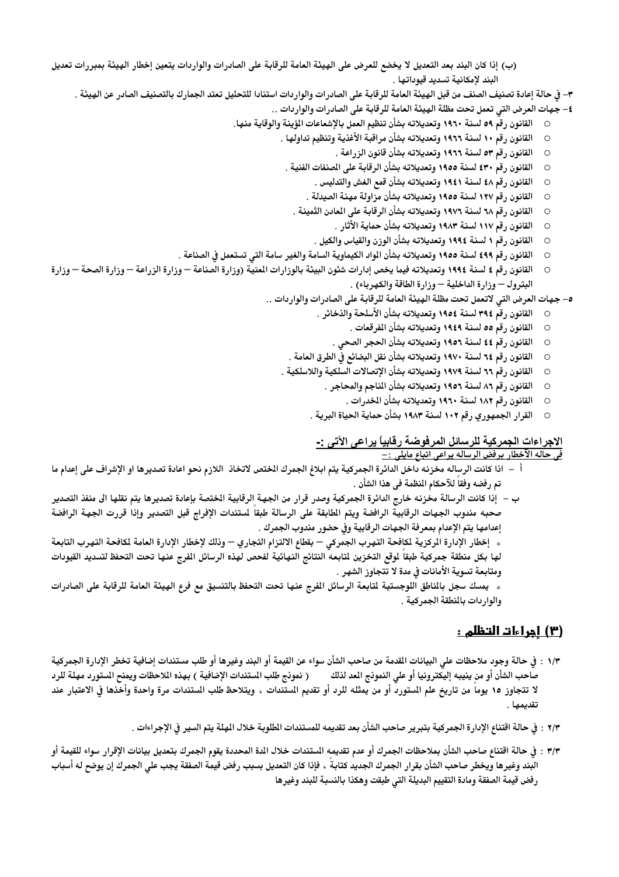- (ب) إذا كان البند بعد التعديل لا يخضع للعرض على الهيئة العامة للرقابة على الصادرات والواردات يتعين إخطار الهيئة بمبررات تعديل البند لإمكانية تسديد قيوداتها .
	- ٣– في حالة إعادة تصنيف الصنف من قبل الهيئة العامة للرقابة على الصادرات والواردات استنادا للتحليل تعتد الجمارك بالتصنيف الصادر عن الهيئة .
		- ٤– جهات العرض التي تعمل تحت مظلة الهيئة العامة للرقابة على الصادرات والواردات ..
		- القانون رقم ٥٩ لسنة ١٩٦٠ وتعديلاته بشأن تنظيم العمل بالإشعاعات المؤينة والوقاية منها.  $\circ$ 
			- القانون رقم ١٠ لسنة ١٩٦٦ وتعديلاته بشأن مراقبة الأغذية وتنظيم تداولها .  $\circ$ 
				- القانون رقم ٥٣ لسنة ١٩٦٦ وتعديلاته بشأن قانون الزراعة .  $\circ$
			- القانون رقم ٤٣٠ لسنة ١٩٥٥ وتعديلاته بشأن الرقابة على المنفات الفنية .  $\circ$ 
				- القانون رقم ٤٨ لسنة ١٩٤١ وتعديلاته بشأن قمع الغش والتدليس .  $\circ$
				- القانون رقم ١٢٧ لسنة ١٩٥٥ وتعديلاته بشأن مزاولة مهنة الصيدلة .  $\circ$
				- القانون رقم ٦٨ لسنة ١٩٧٦ وتعديلاته بشأن الرقابة على المعادن الثمينة .  $\circ$ 
					- القانون رقم ١١٧ لسنة ١٩٨٣ وتعديلاته بشأن حماية الأثار .  $\circ$
			- القانون رقم ١ لسنة ١٩٩٤ وتعديلاته بشأن الوزن والقياس والكيل .  $\circ$
		- القانون رقم ٤٩٩ لسنة ١٩٥٥ وتعديلاته بشأن المواد الكيماوية السامة والغير سامة التي تستعمل في الصناعة .  $\circ$
- القانون رقم ٤ لسنة ١٩٩٤ وتعديلاته فيما يخص إدارات شئون البيئة بالوزارات المنية (وزارة الصناعة وزارة الزراعة وزارة الصحة وزارة  $\circ$ البترول — وزارة الداخلية — وزارة الطاقة والكهرباء) .
	- ٥– جهات العرض التي لاتعمل تحت مظلة الهيئة العامة للرقابة على الصادرات والواردات ..
		- القانون رقَّم ٣٩٤ لسنة ١٩٥٤ وتعديلاته بشأن الأسلحة والذخائر .  $\circ$ 
			- القانون رقم ٥٥ لسنة ١٩٤٩ وتعديلاته بشأن المفرقعات .  $\circ$
		- القانون رقم ٤٤ لسنة ١٩٥٦ وتعديلاته بشأن الحجر الصحى .  $\circ$
		- القانون رقم ٦٤ لسنة ١٩٧٠ وتعديلاته بشأن نقل البضائع في الطرق العامة .  $\circ$
		- القانون رقم ٦٦ لسنة ١٩٧٩ وتعديلاته بشأن الإتصالات السلكية واللاسلكية .  $\circ$ 
			- القانون رقم ٨٦ لسنة ١٩٥٢ وتعديلاته بشأن المناجم والمحاجر .  $\circ$ 
				- القانون رقم ١٨٢ لسنة ١٩٦٠ وتعديلاته بشأن الخدرات .  $\circ$
			- القرار الجمهوري رقم ١٠٢ لسنة ١٩٨٣ بشأن حماية الحياة البرية .  $\circ$

# الاجراءات الجمركية للرسائل المرفوضة رقابياً يراعى الآتى :-

<u>في حاله الآخطار برفض الرساله يراعي اتباع مايلي :–</u>

- أ اذا كانت الرساله مخزنه داخل الدائرة الجمركية يتم ابلاغ الجمرك الختص لاتخاذ اللازم نحو اعادة تصديرها او الإشراف على إعدام ما تم رفضه وفقاً للآحكام المنظمة في هذا الشأن .
- ب إذا كانت الرسالة مخزنه خارج الدائرة الجمركية وصدر قرار من الجهة الرقابية الختصة بإعادة تصديرها يتم نقلها الى منفذ التصدير صحبه مندوب الجهات الرقابية الرافضة ويتم المطابقة على الرسالة طبقا لمستندات الإفراج قبل التصدير وإذا قررت الجهة الرافضة إعدامها يتم الإعدام بمعرفة الجهات الرقابية وفي حضور مندوب الجمرك .
- » إخطار الإدارة الركزية لمكافحة التهرب الجمركي بقطاع الالتزام التجاري وذلك لإخطار الإدارة العامة لمكافحة التهرب التابعة لها بكل منطقة جمركية طبقا لوقع التخزين لتابعه النتائج النهائية لفحص لهذه الرسائل الفرج عنها تحت التحفظ لتسديد القيودات ومتابعة تسوية الأمانات في مدة لا تتجاوز الشهر .
- » يمسك سجل بالماطق اللوجستية لتابعة الرسائل الفرج عنها تحت التحفظ بالتنسيق مع فرع الهيئة العامة للرقابة على الصادرات والوار دات بالمنطقة الجمركية .

## <u>(۳) إجراءات التظلم :</u>

- ١/٣ : في حالة وجود ملاحظات على البيانات القدمة من صاحب الشأن سواء عن القيمة أو البند وغيرها أو طلب مستندات إضافية تخطر الإدارة الجمركية ( نمونج طلب المستندات الإضافية ) بهذه الملاحظات ويمنح المستورد مهلة للرد صاحب الشأن أو من ينيبه إليكترونيا أو علي النمونج العد لذلك لا تتجاوز ١٥ يوما من تاريخ علم المستورد أو من يمثله للرد أو تقديم المستندات ، ويتلاحظ طلب المستندات مرة واحدة وأخذها في الاعتبار عند تقدىمھا .
	- ٢/٣ : في حالة اقتناع الإدارة الجمركية بتبرير صاحب الشأن بعد تقديمه للمستندات الطلوبة خلال المهلة يتم السير في الإجراءات .
- ٣/٣ : في حالة اقتناع صاحب الشأن بملاحظات الجمرك أو عدم تقديمه الستندات خلال الدة المحددة يقوم الجمرك بتعديل بيانات الإقرار سواء للقيمة أو البند وغيرها ويخطر صاحب الشأن بقرار الجمرك الجديد كتابة ، فإذا كان التعديل بسبب رفض قيمة الصفقة يجب على الجمرك إن يوضح له أسباب رفض قيمة الصفقة ومادة التقييم البديلة التى طبقت وهكذا بالنسبة للبند وغيرها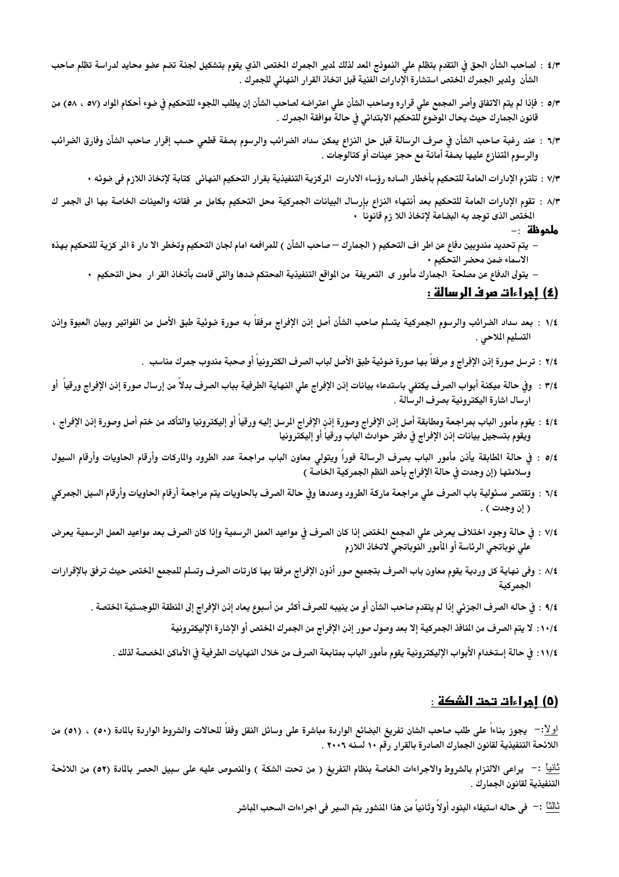- ٤/٣ : لصاحب الشأن الحق في التقدم بتظلم على النموذج المد لذلك لدير الجمرك الختص الذي يقوم بتشكيل لجنة تضم عضو محايد لدراسة تظلم صاحب الشأن ولدير الجمرك المختص استشارة الإدارات الفنية قبل اتخاذ القرار النهائى للجمرك .
- ٥/٣ : فإذا لم يتم الاتفاق وأصر المجمع على قراره وصاحب الشأن على اعتراضه لصاحب الشأن إن يطلب اللجوء للتحكيم فى ضوء أحكام المواد (٥٧ ، ٥٨) من قانون الجمارك حيث يحال الموضوع للتحكيم الابتدائي في حالة موافقة الجمرك .
- ٦/٣ : عند رغبة صاحب الشأن في صرف الرسالة قبل حل النزاع يمكن سداد الضرائب والرسوم بصفة قطعى حسب إقرار صاحب الشأن وفارق الضرائب والرسوم التنازع عليها بصفة أمانة مع حجز عينات أو كتالوجات .
	- ٧/٣ : تلتزم الإدارات العامة للتحكيم بأخطار الساده رؤساء الادارت المركزية التنفيذية بقرار التحكيم النهائي كتابة لإتخاذ اللازم في ضوئه ٠
- ٨/٣ : تقوم الإدارات العامة للتحكيم بعد أنتهاء النزاع بإرسال البيانات الجمركية محل التحكيم بكامل مر فقاته والعينات الخاصة بها الى الجمر ك الختص الذي توجد به البضاعة لإتخاذ اللا زم قانوناً •

#### **ملحوظة :-**

- يتم تحديد مندوبين دفاع عن اطر اف التحكيم ( الجمارك صاحب الشأن ) للمرافعه امام لجان التحكيم وتخطر الا دار ة الر كزية للتحكيم بهذه الاسماء ضمن محضر التحكيم ٠
	- يتولى الدفاع عن مصلحة الجمارك مأمور ى التعريفة من الواقع التنفيذية المحتكم ضدها والتي قامت بأتخاذ القر ار محل التحكيم •

## (٤) اجراءات مرف الرسالة :

- 1⁄4 : بعد سداد الضرائب والرسوم الجمركية يتسلم صاحب الشأن أصل إذن الإفراج مرفقاً به صورة ضوئية طبق الأصل من الفواتير وبيان العبوة وإذن التسليم الملاحي .
	- ٢/٤ : ترسل صورة إذن الإفراج و مرفقاً بها صورة ضوئية طبق الأصل لباب الصرف الكترونياً أو صحبة مندوب جمرك مناسب .
- ٣/٤ : وفي حالة ميكنة أبواب الصرف يكتفي باستدعاء بيانات إنن الإفراج على النهاية الطرفية بباب الصرف بدلا من إرسال صورة إنن الإفراج ورقيا أو ارسال اشارة اليكترونية بصرف الرسالة .
- 1⁄4 : يقوم مأمور الباب بمراجعة ومطابقة أصل إذن الإفراج وصورة إذن الإفراج الرسل إليه ورقياً أو إليكترونيا والتأكد من ختم أصل وصورة إذن الإفراج ، ويقوم بتسجيل بيانات إذن الإفراج فى دفتر حوادث الباب ورقيا أو إليكترونيا
- ٥/٤ : في حالة الطابقة يأذن مأمور الباب بصرف الرسالة فورا ويتولى معاون الباب مراجعة عدد الطرود والماركات وأرقام الحاويات وأرقام السيول وسلامتها (إن وجدت في حالة الإفراج بأحد النظم الجمركية الخاصة )
- ٦/٤ : وتقتصر مسئولية باب الصرف على مراجعة ماركة الطرود وعددها وفي حالة الصرف بالحاويات يتم مراجعة أرقام الحاويات وأرقام السيل الجمركي ( إن وجدت ) .
- ٧/٤ : في حالة وجود اختلاف يعرض على المجمع الختص إذا كان الصرف في مواعيد العمل الرسمية وإذا كان الصرف بعد مواعيد العمل الرسمية يعرض على نوباتجي الرئاسة أو المأور النوباتجي لاتخاذ اللازم
- 1⁄4 : وفي نهاية كل وردية يقوم معاون باب الصرف بتجميع صور أذون الإفراج مرفقا بها كارتات الصرف وتسلم للمجمع الختص حيث ترفق بالإقرارات الجمر كية
	- ٩/٤ : في حاله الصرف الجزئي إذا لم يتقدم صاحب الشأن أو من ينيبه للصرف أكثر من أسبوع يعاد إذن الإفراج إلى النطقة اللوجستية الختصة .
		- ١٠/٤ : لا يتم الصرف من النافذ الجمركية إلا بعد وصول صور إنن الإفراج من الجمرك الختص أو الإشارة الإليكترونية
		- ١١/٤: في حالة إستخدام الأبواب الإليكترونية يقوم مأمور الباب بمتابعة الصرف من خلال النهايات الطرفية في الأماكن الخصصة لذلك .

#### <u>(٥) إجراءات تحت الشكة :</u>

اولاً:- يجوز بناءا على طلب صاحب الشان تفريغ البضائع الواردة مباشرة على وسائل النقل وفقا للحالات والشروط الواردة بالمادة (٥٠) ، (٥١) من اللائحة التنفيذية لقانون الجمارك الصادرة بالقرار رقم ١٠ لسنه ٢٠٠٦ .

<u>ثانيا</u>ً :– يراعى الالتزام بالشروط والاجراءات الخاصة بنظام التفريغ ( من تحت الشكة ) والنصوص عليه على سبيل الحصر بالمادة (٥٢) من اللائحة التنفيذية لقانون الجمارك .

ثْلَكْـْا : – في حاله استيفاء البنود أولاً وثانياً من هذا المنشور يتم السير في اجر اءات السحب الباشر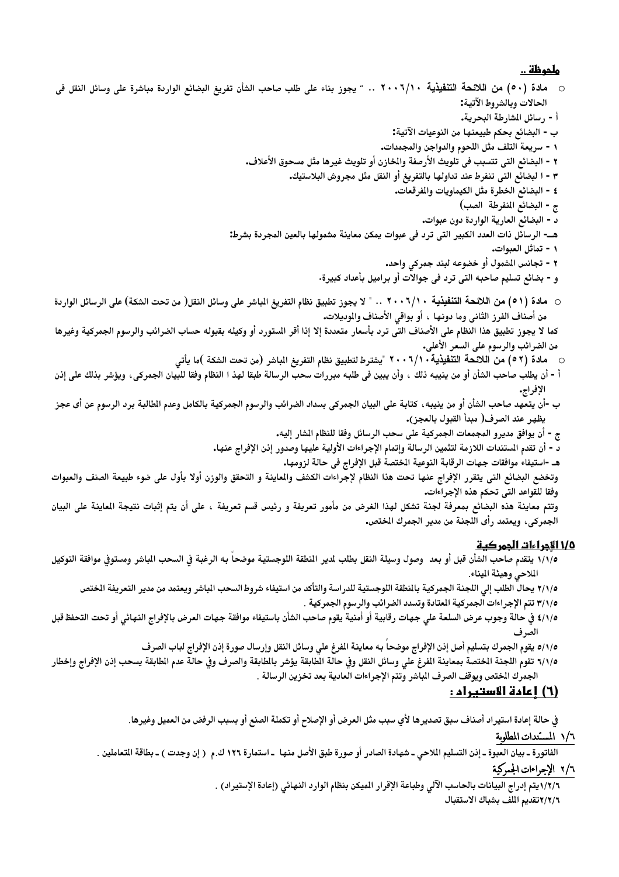#### ملحوظة ..

الحالات وبالشروط الآتية: أ - رسائل المشارطة البحرية. ب - البضائع بحكم طبيعتها من النوعيات الآتية: ١ - سريعة التلف مثل اللحوم والدواجن والمجمدات. ٢ - البضائع التي تتسبب في تلويث الأرصفة والخازن أو تلويث غيرها مثل مسحوق الأعلاف. ٣ - ا لبضائع التي تنفرط عند تداولها بالتفريغ أو النقل مثل مجروش البلاستيك. ٤ - البضائع الخطرة مثل الكيماويات والمفرقعات. ج - البضائع المنفرطة الصب) د - البضائع العارية الواردة دون عبوات. هـــ- الرسائل ذات العدد الكبير التي ترد في عبوات يمكن معاينة مشمولها بالعين المجردة بشرط: ١ - تماثل العبوات. ٢ - تجانس الشمول أو خضوعه لبند جمركي واحد. و - بضائع تسليم صاحبه التي ترد في جوالات أو براميل بأعداد كبيرة. ○ مادة (٥١) من اللائحة التنفيذية ٢٠٠٦/١٠ .. " لا يجوز تطبيق نظام التفريغ الباشر على وسائل النقل( من تحت الشكة) على الرسائل الواردة من أصناف الفرز الثاني وما دونها ، أو بواقي الأصناف والوديلات. كما لا يجوز تطبيق هذا النظام على الأصناف التي ترد بأسعار متعددة إلا إذا أقر الستورد أو وكيله بقبوله حساب الضرائب والرسوم الجمركية وغيرها من الضرائب والرسوم على السعر الأعلى. ○ مادة (٥٢) من اللائحة التنفيذية ٢٠٠٦/١٠ "يشترط لتطبيق نظام التفريغ الباشر (من تحت الشكة )ما يأتي أ - أن يطلب صاحب الشأن أو من ينيبه ذلك ، وأن يبين في طلبه مبررات سحب الرسالة طبقا لهذ ا النظام وفقا للبيان الجمركي، ويؤشر بذلك على إذن الإفراج. ب -أن يتعهد صاحب الشأن أو من ينيبه ، كتابة على البيان الجمركي بسداد الضرائب والرسوم الجمركية بالكامل وعدم الطالبة برد الرسوم عن أى عجز يظهر عند الصرف( مبدأ القبول بالعجز). ج - أن يوافق مديرو المجمعات الجمركية على سحب الرسائل وفقا للنظام المشار إليه. د - أن تقدم المستندات اللازمة لتثمين الرسالة وإتمام الإجراءات الأولية عليها وصدور إذن الإفراج عنها. هـ -استيفاء موافقات جهات الرقابة النوعية الختصة قبل الإفراج في حالة لزومها.

وتخضع البضائع التى يتقرر الإفراج عنها تحت هذا النظام لإجراءات الكشف والماينة و التحقق والوزن أولا بأول على ضوء طبيعة الصنف والعبوات وفقا للقواعد التى تحكم هذه الإجراءات.

وتتم معاينة هذه البضائع بمعرفة لجنة تشكل لهذا الغرض من مأمور تعريفة و رئيس قسم تعريفة ، على أن يتم إثبات نتيجة العاينة على البيان الجمركي، ويعتمد رأى اللجنة من مدير الجمرك الختص.

## 1/0 الأجر اءات الجمر كية

- ١/١/٥ يتقدم صاحب الشأن قبل أو بعد ۖ وصول وسيلة النقل بطلب لدير النطقة اللوجستية موضحاً به الرغبة فى السحب الباشر ومستوفى موافقة التوكيل الملاحي وهيئة الميناء.
	- ٢/١/٥ يحال الطلب إلى اللجنة الجمركية بالنطقة اللوجستية للدراسة والتأكد من استيفاء شروط السحب الباشر ويعتمد من مدير التعريفة الختص
		- ٣/١/٥ تتم الإجراءات الجمركية المعتادة وتسدد الضرائب والرسوم الجمركية .
- 1/1/0 في حالة وجوب عرض السلعة علي جهات رقابية أو أمنية يقوم صاحب الشأن باستيفاء موافقة جهات العرض بالإفراج النهائى أو تحت التحفظ قبل الصرف
	- 0/١/٥ يقوم الجمرك بتسليم أصل إذن الإفراج موضحا به معاينة الفرغ على وسائل النقل وإرسال صورة إذن الإفراج لباب الصرف
- ٦/١/٥ تقوم اللجنة المختصة بمعاينة الفرغ على وسائل النقل وفي حالة الطابقة يؤشر بالطابقة والصرف وفي حالة عدم الطابقة يسحب إذن الإفراج وإخطار الجمرك الختص ويوقف الصرف المباشر وتتم الإجراءات العادية بعد تخزين الرسالة .

## (٦) اعادة الاستبراد :

في حالة إعادة استيراد أصناف سبق تصديرها لأي سبب مثل العرض أو الإصلاح أو تكملة الصنع أو بسبب الرفض من العميل وغيرها.

## ١/٦ المسندات المطلوبة

الفاتورة ـ بيان العبوة ـ إذن التسليم الملاحي ـ شهادة الصادر أو صورة طبق الأصل منها ـ استمارة ١٢٦ ك.م ( إن وجدت ) ـ بطاقة المتعاملين .

## ٢/٦ الإجراءات الجمركية

١/٢/٦ يتم إدراج البيانات بالحاسب الآلي وطباعة الإقرار الميكن بنظام الوارد النهائي (إعادة الإستيراد) . ٢/٢/٦تقديم الملف بشباك الاستقبال